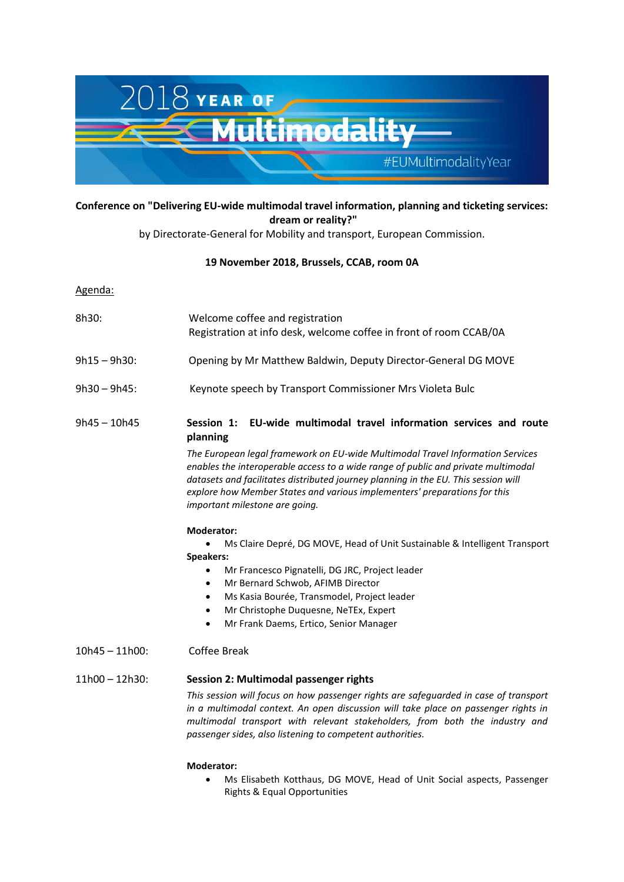

# **Conference on "Delivering EU-wide multimodal travel information, planning and ticketing services: dream or reality?"**

by [Directorate-General for Mobility and transport,](https://ec.europa.eu/transport/index_en) European Commission.

## **19 November 2018, Brussels, CCAB, room 0A**

Agenda:

| 8h30: | Welcome coffee and registration                                    |
|-------|--------------------------------------------------------------------|
|       | Registration at info desk, welcome coffee in front of room CCAB/0A |

- 9h15 9h30: Opening by Mr Matthew Baldwin, Deputy Director-General DG MOVE
- 9h30 9h45: Keynote speech by Transport Commissioner Mrs Violeta Bulc
- 9h45 10h45 **Session 1: EU-wide multimodal travel information services and route planning**

*The European legal framework on EU-wide Multimodal Travel Information Services enables the interoperable access to a wide range of public and private multimodal datasets and facilitates distributed journey planning in the EU. This session will explore how Member States and various implementers' preparations for this important milestone are going.* 

### **Moderator:**

 Ms Claire Depré, DG MOVE, Head of Unit Sustainable & Intelligent Transport **Speakers:** 

- Mr Francesco Pignatelli, DG JRC, Project leader
- Mr Bernard Schwob, AFIMB Director
- Ms Kasia Bourée, Transmodel, Project leader
- Mr Christophe Duquesne, NeTEx, Expert
- Mr Frank Daems, Ertico, Senior Manager
- 10h45 11h00: Coffee Break

### 11h00 – 12h30: **Session 2: Multimodal passenger rights**

*This session will focus on how passenger rights are safeguarded in case of transport in a multimodal context. An open discussion will take place on passenger rights in multimodal transport with relevant stakeholders, from both the industry and passenger sides, also listening to competent authorities.*

#### **Moderator:**

 Ms Elisabeth Kotthaus, DG MOVE, Head of Unit Social aspects, Passenger Rights & Equal Opportunities